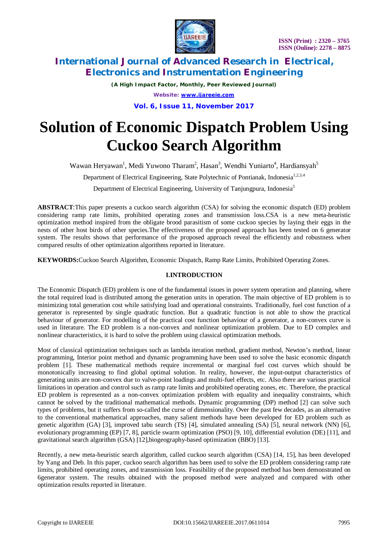

*(A High Impact Factor, Monthly, Peer Reviewed Journal) Website: [www.ijareeie.com](http://www.ijareeie.com)*

**Vol. 6, Issue 11, November 2017**

# **Solution of Economic Dispatch Problem Using Cuckoo Search Algorithm**

Wawan Heryawan<sup>1</sup>, Medi Yuwono Tharam<sup>2</sup>, Hasan<sup>3</sup>, Wendhi Yuniarto<sup>4</sup>, Hardiansyah<sup>5</sup>

Department of Electrical Engineering, State Polytechnic of Pontianak, Indonesia<sup>1,2,3,4</sup>

Department of Electrical Engineering, University of Tanjungpura, Indonesia<sup>5</sup>

**ABSTRACT**:This paper presents a cuckoo search algorithm (CSA) for solving the economic dispatch (ED) problem considering ramp rate limits, prohibited operating zones and transmission loss.CSA is a new meta-heuristic optimization method inspired from the obligate brood parasitism of some cuckoo species by laying their eggs in the nests of other host birds of other species.The effectiveness of the proposed approach has been tested on 6 generator system. The results shows that performance of the proposed approach reveal the efficiently and robustness when compared results of other optimization algorithms reported in literature.

**KEYWORDS:**Cuckoo Search Algorithm, Economic Dispatch, Ramp Rate Limits, Prohibited Operating Zones.

### **I.INTRODUCTION**

The Economic Dispatch (ED) problem is one of the fundamental issues in power system operation and planning, where the total required load is distributed among the generation units in operation. The main objective of ED problem is to minimizing total generation cost while satisfying load and operational constraints. Traditionally, fuel cost function of a generator is represented by single quadratic function. But a quadratic function is not able to show the practical behaviour of generator. For modelling of the practical cost function behaviour of a generator, a non-convex curve is used in literature. The ED problem is a non-convex and nonlinear optimization problem. Due to ED complex and nonlinear characteristics, it is hard to solve the problem using classical optimization methods.

Most of classical optimization techniques such as lambda iteration method, gradient method, Newton's method, linear programming, Interior point method and dynamic programming have been used to solve the basic economic dispatch problem [1]. These mathematical methods require incremental or marginal fuel cost curves which should be monotonically increasing to find global optimal solution. In reality, however, the input-output characteristics of generating units are non-convex due to valve-point loadings and multi-fuel effects, etc. Also there are various practical limitations in operation and control such as ramp rate limits and prohibited operating zones, etc. Therefore, the practical ED problem is represented as a non-convex optimization problem with equality and inequality constraints, which cannot be solved by the traditional mathematical methods. Dynamic programming (DP) method [2] can solve such types of problems, but it suffers from so-called the curse of dimensionality. Over the past few decades, as an alternative to the conventional mathematical approaches, many salient methods have been developed for ED problem such as genetic algorithm (GA) [3], improved tabu search (TS) [4], simulated annealing (SA) [5], neural network (NN) [6], evolutionary programming (EP) [7, 8], particle swarm optimization (PSO) [9, 10], differential evolution (DE) [11], and gravitational search algorithm (GSA) [12],biogeography-based optimization (BBO) [13].

Recently, a new meta-heuristic search algorithm, called cuckoo search algorithm (CSA) [14, 15], has been developed by Yang and Deb. In this paper, cuckoo search algorithm has been used to solve the ED problem considering ramp rate limits, prohibited operating zones, and transmission loss. Feasibility of the proposed method has been demonstrated on 6generator system. The results obtained with the proposed method were analyzed and compared with other optimization results reported in literature.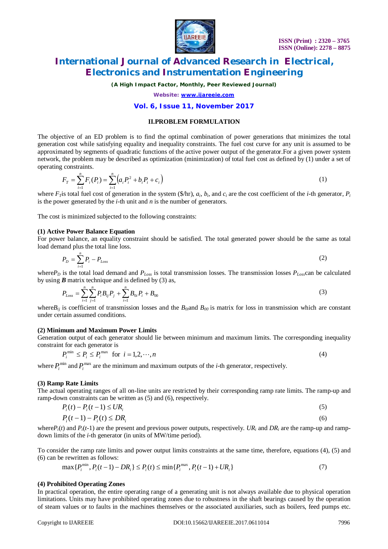

*(A High Impact Factor, Monthly, Peer Reviewed Journal)*

*Website: [www.ijareeie.com](http://www.ijareeie.com)*

### **Vol. 6, Issue 11, November 2017**

### **II.PROBLEM FORMULATION**

The objective of an ED problem is to find the optimal combination of power generations that minimizes the total generation cost while satisfying equality and inequality constraints. The fuel cost curve for any unit is assumed to be approximated by segments of quadratic functions of the active power output of the generator.For a given power system network, the problem may be described as optimization (minimization) of total fuel cost as defined by (1) under a set of operating constraints.

$$
F_T = \sum_{i=1}^n F_i(P_i) = \sum_{i=1}^n \left( a_i P_i^2 + b_i P_i + c_i \right) \tag{1}
$$

where  $F_T$  is total fuel cost of generation in the system (\$/hr),  $a_i$ ,  $b_i$ , and  $c_i$  are the cost coefficient of the *i*-th generator,  $P_i$ is the power generated by the *i*-th unit and *n* is the number of generators.

The cost is minimized subjected to the following constraints:

#### **(1) Active Power Balance Equation**

For power balance, an equality constraint should be satisfied. The total generated power should be the same as total load demand plus the total line loss.

$$
P_D = \sum_{i=1}^{n} P_i - P_{Loss} \tag{2}
$$

where $P_D$  is the total load demand and  $P_{Loss}$  is total transmission losses. The transmission losses  $P_{Loss}$ can be calculated by using  $\bm{B}$  matrix technique and is defined by (3) as,

$$
P_{Loss} = \sum_{i=1}^{n} \sum_{j=1}^{n} P_i B_{ij} P_j + \sum_{i=1}^{n} B_{0i} P_i + B_{00}
$$
\n(3)

where $B_{ij}$  is coefficient of transmission losses and the  $B_{0i}$  and  $B_{00}$  is matrix for loss in transmission which are constant under certain assumed conditions.

#### **(2) Minimum and Maximum Power Limits**

Generation output of each generator should lie between minimum and maximum limits. The corresponding inequality constraint for each generator is

$$
P_i^{\min} \le P_i \le P_i^{\max} \text{ for } i = 1, 2, \cdots, n
$$
\n<sup>(4)</sup>

where  $P_i^{\min}$  and  $P_i^{\max}$  are the minimum and maximum outputs of the *i*-th generator, respectively.

#### **(3) Ramp Rate Limits**

The actual operating ranges of all on-line units are restricted by their corresponding ramp rate limits. The ramp-up and ramp-down constraints can be written as (5) and (6), respectively.

$$
P_i(t) - P_i(t-1) \leq UR_i
$$
\n
$$
P_i(t-1) - P_i(t) \leq DR_i
$$
\n(6)

where $P_i(t)$  and  $P_i(t-1)$  are the present and previous power outputs, respectively. *UR<sub>i</sub>* and *DR<sub>i</sub>* are the ramp-up and rampdown limits of the *i-*th generator (in units of MW/time period).

To consider the ramp rate limits and power output limits constraints at the same time, therefore, equations (4), (5) and (6) can be rewritten as follows:

$$
\max\{P_i^{\min}, P_i(t-1) - DR_i\} \le P_i(t) \le \min\{P_i^{\max}, P_i(t-1) + UR_i\} \tag{7}
$$

#### **(4) Prohibited Operating Zones**

In practical operation, the entire operating range of a generating unit is not always available due to physical operation limitations. Units may have prohibited operating zones due to robustness in the shaft bearings caused by the operation of steam values or to faults in the machines themselves or the associated auxiliaries, such as boilers, feed pumps etc.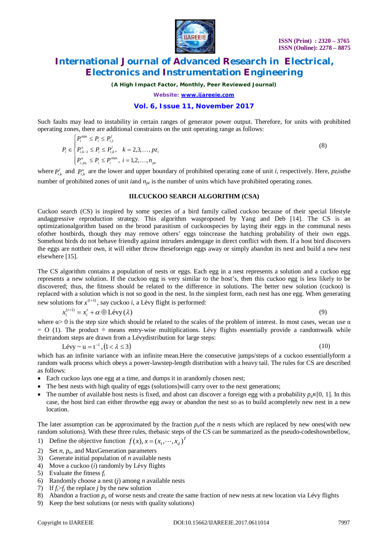

*(A High Impact Factor, Monthly, Peer Reviewed Journal)*

*Website: [www.ijareeie.com](http://www.ijareeie.com)*

### **Vol. 6, Issue 11, November 2017**

Such faults may lead to instability in certain ranges of generator power output. Therefore, for units with prohibited operating zones, there are additional constraints on the unit operating range as follows:

$$
P_i \in \begin{cases} P_i^{\min} \le P_i \le P_{i,1}^l \\ P_{i,k-1}^u \le P_i \le P_{i,k}^l, & k = 2,3,\dots, p z_i \\ P_{i,p z_i}^u \le P_i \le P_i^{\max}, & i = 1,2,\dots, n_{p z} \end{cases} \tag{8}
$$

where  $P_{i,k}^l$  and  $P_{i,k}^u$  are the lower and upper boundary of prohibited operating zone of unit *i*, respectively. Here, *pz*<sub>*i*</sub>isthe number of prohibited zones of unit *i*and *npz* is the number of units which have prohibited operating zones.

#### **III.CUCKOO SEARCH ALGORITHM (CSA)**

Cuckoo search (CS) is inspired by some species of a bird family called cuckoo because of their special lifestyle andaggressive reproduction strategy. This algorithm wasproposed by Yang and Deb [14]. The CS is an optimizationalgorithm based on the brood parasitism of cuckoospecies by laying their eggs in the communal nests ofother hostbirds, though they may remove others' eggs toincrease the hatching probability of their own eggs. Somehost birds do not behave friendly against intruders andengage in direct conflict with them. If a host bird discovers the eggs are nottheir own, it will either throw theseforeign eggs away or simply abandon its nest and build a new nest elsewhere [15].

The CS algorithm contains a population of nests or eggs. Each egg in a nest represents a solution and a cuckoo egg represents a new solution. If the cuckoo egg is very similar to the host's, then this cuckoo egg is less likely to be discovered; thus, the fitness should be related to the difference in solutions. The better new solution (cuckoo) is replaced with a solution which is not so good in the nest. In the simplest form, each nest has one egg. When generating new solutions for  $x^{(t+1)}$ , say cuckoo *i*, a Lévy flight is performed:

$$
x_i^{(t+1)} = x_i^t + \alpha \oplus \text{Levy}(\lambda)
$$
\n(9)

where  $\alpha > 0$  is the step size which should be related to the scales of the problem of interest. In most cases, wecan use  $\alpha$  $=$  O (1). The product ⊕ means entry-wise multiplications. Lévy flights essentially provide a randomwalk while theirrandom steps are drawn from a Lévydistribution for large steps:

$$
Lévy \sim u = t^{-\lambda}, (1 < \lambda \le 3)
$$

(10)

which has an infinite variance with an infinite mean.Here the consecutive jumps/steps of a cuckoo essentiallyform a random walk process which obeys a power-lawstep-length distribution with a heavy tail. The rules for CS are described as follows:

- Each cuckoo lays one egg at a time, and dumps it in arandomly chosen nest;
- The best nests with high quality of eggs (solutions) will carry over to the next generations;
- The number of available host nests is fixed, and ahost can discover a foreign egg with a probability  $p_a \in [0, 1]$ . In this case, the host bird can either throwthe egg away or abandon the nest so as to build acompletely new nest in a new location.

The later assumption can be approximated by the fraction  $p<sub>a</sub>$  of the *n* nests which are replaced by new ones(with new random solutions). With these three rules, thebasic steps of the CS can be summarized as the pseudo-codeshownbellow,

- 1) Define the objective function  $f(x)$ ,  $x = (x_1, \dots, x_d)^T$
- 2) Set *n*, *pa*, and MaxGeneration parameters
- 3) Generate initial population of *n* available nests
- 4) Move a cuckoo (*i*) randomly by Lévy flights
- 5) Evaluate the fitness *f<sup>i</sup>*
- 6) Randomly choose a nest (*j*) among *n* available nests
- 7) If  $f_i > f_j$  the replace *j* by the new solution
- 8) Abandon a fraction  $p_a$  of worse nests and create the same fraction of new nests at new location via Lévy flights
- 9) Keep the best solutions (or nests with quality solutions)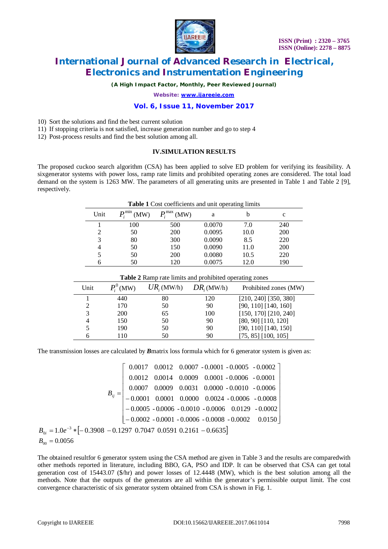

*(A High Impact Factor, Monthly, Peer Reviewed Journal)*

*Website: [www.ijareeie.com](http://www.ijareeie.com)*

#### **Vol. 6, Issue 11, November 2017**

10) Sort the solutions and find the best current solution

- 11) If stopping criteria is not satisfied, increase generation number and go to step 4
- 12) Post-process results and find the best solution among all.

#### **IV.SIMULATION RESULTS**

The proposed cuckoo search algorithm (CSA) has been applied to solve ED problem for verifying its feasibility. A sixgenerator systems with power loss, ramp rate limits and prohibited operating zones are considered. The total load demand on the system is 1263 MW. The parameters of all generating units are presented in Table 1 and Table 2 [9], respectively.

| <b>Table 1</b> Cost coefficients and unit operating limits     |                      |                   |               |                           |                       |  |  |
|----------------------------------------------------------------|----------------------|-------------------|---------------|---------------------------|-----------------------|--|--|
| Unit                                                           | $P_i^{\min}$<br>(MW) | $P_i^{\max}$ (MW) | a             | b                         | $\mathbf c$           |  |  |
|                                                                | 100                  | 500               | 0.0070        | 7.0                       | 240                   |  |  |
| 2                                                              | 50                   | 200               | 0.0095        | 10.0                      | 200                   |  |  |
| 3                                                              | 80                   | 300               | 0.0090        | 8.5                       | 220                   |  |  |
| 4                                                              | 50                   | 150               | 0.0090        | 11.0                      | 200                   |  |  |
| 5                                                              | 50                   | 200               | 0.0080        | 10.5                      | 220                   |  |  |
| 6                                                              | 50                   | 120               | 0.0075        | 12.0                      | 190                   |  |  |
| <b>Table 2</b> Ramp rate limits and prohibited operating zones |                      |                   |               |                           |                       |  |  |
| Unit                                                           | $P_i^0$ (MW)         | $UR_i$ (MW/h)     | $DR_i$ (MW/h) |                           | Prohibited zones (MW) |  |  |
|                                                                | 440                  | 80                | 120           | $[210, 240]$ [350, 380]   |                       |  |  |
| 2                                                              | 170                  | 50                | 90            | $[90, 110]$ [140, 160]    |                       |  |  |
| 3                                                              | 200                  | 65                | 100           | $[150, 170]$ $[210, 240]$ |                       |  |  |
| 4                                                              | 150                  | 50                | 90            | [80, 90] [110, 120]       |                       |  |  |
| 5                                                              | 190                  | 50                | 90            | $[90, 110]$ [140, 150]    |                       |  |  |
| 6                                                              | 110                  | 50                | 90            | [75, 85] [100, 105]       |                       |  |  |

The transmission losses are calculated by *B*matrix loss formula which for 6 generator system is given as:

| $B_{ij} = \begin{bmatrix} 0.0017 & 0.0012 & 0.0007 & -0.0001 & -0.0005 & -0.0002 \\ 0.0012 & 0.0014 & 0.0009 & 0.0001 & -0.0006 & -0.0001 \\ 0.0007 & 0.0009 & 0.0031 & 0.0000 & -0.0010 & -0.0006 \\ -0.0001 & 0.0001 & 0.0000 & 0.0024 & -0.0006 & -0.0008 \\ -0.0005 & -0.0006 & -$<br>$B_{0i} = 1.0e^{-3} * [-0.3908 - 0.1297 \space 0.7047 \space 0.0591 \space 0.2161 - 0.6635]$ |  |  |  |  |  |  |  |  |
|----------------------------------------------------------------------------------------------------------------------------------------------------------------------------------------------------------------------------------------------------------------------------------------------------------------------------------------------------------------------------------------|--|--|--|--|--|--|--|--|
| $R_{\infty} = 0.0056$                                                                                                                                                                                                                                                                                                                                                                  |  |  |  |  |  |  |  |  |

The obtained resultfor 6 generator system using the CSA method are given in Table 3 and the results are comparedwith other methods reported in literature, including BBO, GA, PSO and IDP. It can be observed that CSA can get total generation cost of 15443.07 (\$/hr) and power losses of 12.4448 (MW), which is the best solution among all the methods. Note that the outputs of the generators are all within the generator's permissible output limit. The cost convergence characteristic of six generator system obtained from CSA is shown in Fig. 1.

 $B_{00} = 0.0056$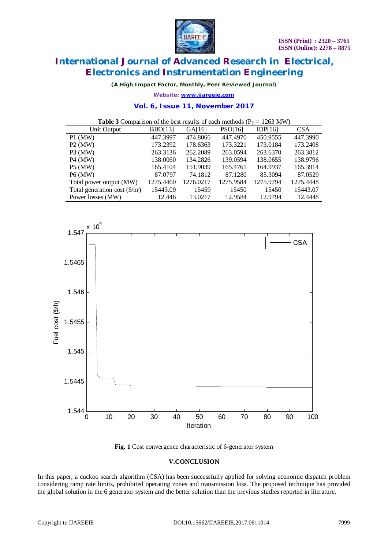

*(A High Impact Factor, Monthly, Peer Reviewed Journal)*

*Website: [www.ijareeie.com](http://www.ijareeie.com)*

#### **Vol. 6, Issue 11, November 2017**

**Table 3** Comparison of the best results of each methods  $(P_D = 1263 \text{ MW})$ 

| Unit Output                   | <b>BBO[13]</b> | GA[16]    | PSO[16]   | IDP[16]   | <b>CSA</b> |
|-------------------------------|----------------|-----------|-----------|-----------|------------|
| $P1$ (MW)                     | 447.3997       | 474.8066  | 447.4970  | 450.9555  | 447.3990   |
| $P2$ (MW)                     | 173.2392       | 178.6363  | 173.3221  | 173.0184  | 173.2408   |
| $P3$ (MW)                     | 263.3136       | 262.2089  | 263.0594  | 263.6370  | 263.3812   |
| $P4$ (MW)                     | 138,0060       | 134.2826  | 139.0594  | 138.0655  | 138.9796   |
| $P5$ (MW)                     | 165.4104       | 151.9039  | 165.4761  | 164.9937  | 165.3914   |
| <b>P6</b> (MW)                | 87.0797        | 74.1812   | 87.1280   | 85.3094   | 87.0529    |
| Total power output (MW)       | 1275.4460      | 1276.0217 | 1275.9584 | 1275.9794 | 1275.4448  |
| Total generation cost (\$/hr) | 15443.09       | 15459     | 15450     | 15450     | 15443.07   |
| Power losses (MW)             | 12.446         | 13.0217   | 12.9584   | 12.9794   | 12.4448    |



**Fig. 1** Cost convergence characteristic of 6-generator system

### **V.CONCLUSION**

In this paper, a cuckoo search algorithm (CSA) has been successfully applied for solving economic dispatch problem considering ramp rate limits, prohibited operating zones and transmission loss. The proposed technique has provided the global solution in the 6 generator system and the better solution than the previous studies reported in literature.